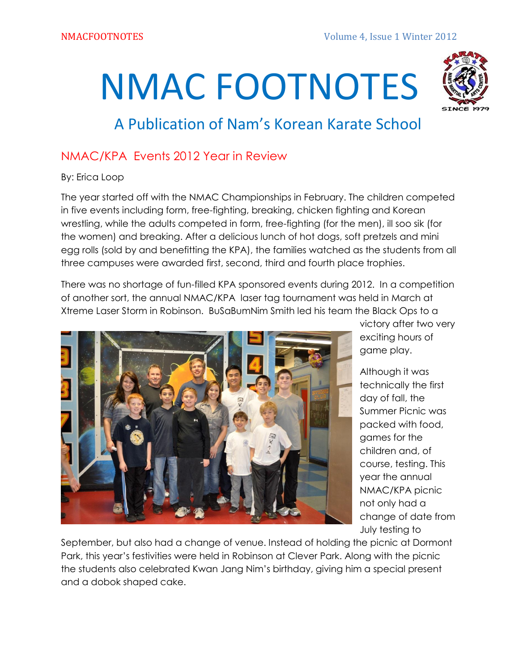# NMAC FOOTNOTES



# A Publication of Nam's Korean Karate School

# NMAC/KPA Events 2012 Year in Review

### By: Erica Loop

The year started off with the NMAC Championships in February. The children competed in five events including form, free-fighting, breaking, chicken fighting and Korean wrestling, while the adults competed in form, free-fighting (for the men), ill soo sik (for the women) and breaking. After a delicious lunch of hot dogs, soft pretzels and mini egg rolls (sold by and benefitting the KPA), the families watched as the students from all three campuses were awarded first, second, third and fourth place trophies.

There was no shortage of fun-filled KPA sponsored events during 2012. In a competition of another sort, the annual NMAC/KPA laser tag tournament was held in March at Xtreme Laser Storm in Robinson. BuSaBumNim Smith led his team the Black Ops to a



victory after two very exciting hours of game play.

Although it was technically the first day of fall, the Summer Picnic was packed with food, games for the children and, of course, testing. This year the annual NMAC/KPA picnic not only had a change of date from July testing to

September, but also had a change of venue. Instead of holding the picnic at Dormont Park, this year's festivities were held in Robinson at Clever Park. Along with the picnic the students also celebrated Kwan Jang Nim's birthday, giving him a special present and a dobok shaped cake.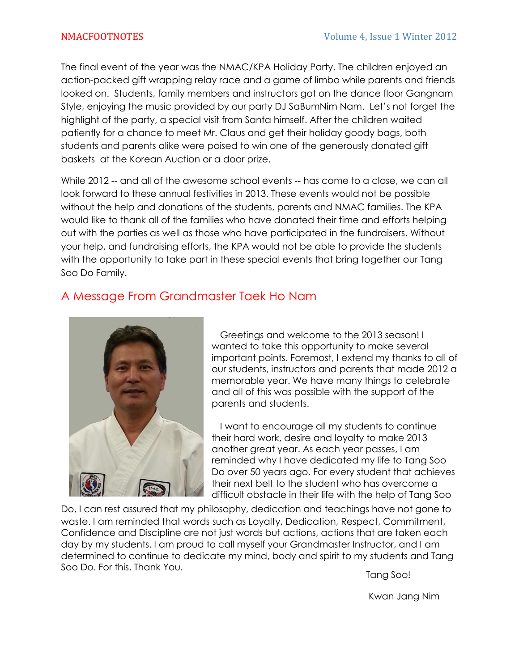The final event of the year was the NMAC/KPA Holiday Party. The children enjoyed an action-packed gift wrapping relay race and a game of limbo while parents and friends looked on. Students, family members and instructors got on the dance floor Gangnam Style, enjoying the music provided by our party DJ SaBumNim Nam. Let's not forget the highlight of the party, a special visit from Santa himself. After the children waited patiently for a chance to meet Mr. Claus and get their holiday goody bags, both students and parents alike were poised to win one of the generously donated gift baskets at the Korean Auction or a door prize.

While 2012 -- and all of the awesome school events -- has come to a close, we can all look forward to these annual festivities in 2013. These events would not be possible without the help and donations of the students, parents and NMAC families. The KPA would like to thank all of the families who have donated their time and efforts helping out with the parties as well as those who have participated in the fundraisers. Without your help, and fundraising efforts, the KPA would not be able to provide the students with the opportunity to take part in these special events that bring together our Tang Soo Do Family.

### A Message From Grandmaster Taek Ho Nam



Greetings and welcome to the 2013 season! I wanted to take this opportunity to make several important points. Foremost, I extend my thanks to all of our students, instructors and parents that made 2012 a memorable year. We have many things to celebrate and all of this was possible with the support of the parents and students.

I want to encourage all my students to continue their hard work, desire and loyalty to make 2013 another great year. As each year passes, I am reminded why I have dedicated my life to Tang Soo Do over 50 years ago. For every student that achieves their next belt to the student who has overcome a difficult obstacle in their life with the help of Tang Soo

Do, I can rest assured that my philosophy, dedication and teachings have not gone to waste. I am reminded that words such as Loyalty, Dedication, Respect, Commitment, Confidence and Discipline are not just words but actions, actions that are taken each day by my students. I am proud to call myself your Grandmaster Instructor, and I am determined to continue to dedicate my mind, body and spirit to my students and Tang Soo Do. For this, Thank You.

Tang Soo!

Kwan Jang Nim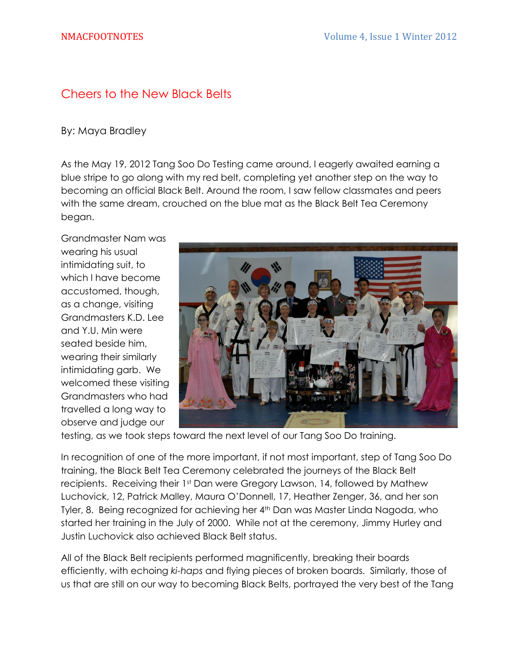### Cheers to the New Black Belts

### By: Maya Bradley

As the May 19, 2012 Tang Soo Do Testing came around, I eagerly awaited earning a blue stripe to go along with my red belt, completing yet another step on the way to becoming an official Black Belt. Around the room, I saw fellow classmates and peers with the same dream, crouched on the blue mat as the Black Belt Tea Ceremony began.

Grandmaster Nam was wearing his usual intimidating suit, to which I have become accustomed, though, as a change, visiting Grandmasters K.D. Lee and Y.U. Min were seated beside him, wearing their similarly intimidating garb. We welcomed these visiting Grandmasters who had travelled a long way to observe and judge our



testing, as we took steps toward the next level of our Tang Soo Do training.

In recognition of one of the more important, if not most important, step of Tang Soo Do training, the Black Belt Tea Ceremony celebrated the journeys of the Black Belt recipients. Receiving their 1st Dan were Gregory Lawson, 14, followed by Mathew Luchovick, 12, Patrick Malley, Maura O'Donnell, 17, Heather Zenger, 36, and her son Tyler, 8. Being recognized for achieving her 4<sup>th</sup> Dan was Master Linda Nagoda, who started her training in the July of 2000. While not at the ceremony, Jimmy Hurley and Justin Luchovick also achieved Black Belt status.

All of the Black Belt recipients performed magnificently, breaking their boards efficiently, with echoing *ki-haps* and flying pieces of broken boards. Similarly, those of us that are still on our way to becoming Black Belts, portrayed the very best of the Tang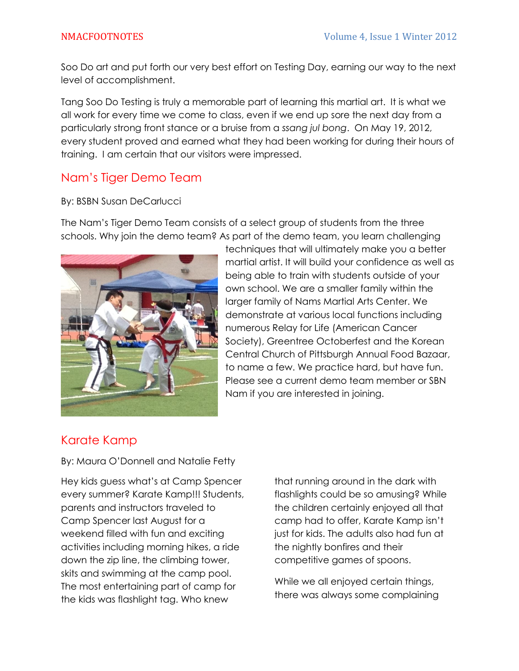Soo Do art and put forth our very best effort on Testing Day, earning our way to the next level of accomplishment.

Tang Soo Do Testing is truly a memorable part of learning this martial art. It is what we all work for every time we come to class, even if we end up sore the next day from a particularly strong front stance or a bruise from a *ssang jul bong*. On May 19, 2012, every student proved and earned what they had been working for during their hours of training. I am certain that our visitors were impressed.

### Nam's Tiger Demo Team

### By: BSBN Susan DeCarlucci

The Nam's Tiger Demo Team consists of a select group of students from the three schools. Why join the demo team? As part of the demo team, you learn challenging



techniques that will ultimately make you a better martial artist. It will build your confidence as well as being able to train with students outside of your own school. We are a smaller family within the larger family of Nams Martial Arts Center. We demonstrate at various local functions including numerous Relay for Life (American Cancer Society), Greentree Octoberfest and the Korean Central Church of Pittsburgh Annual Food Bazaar, to name a few. We practice hard, but have fun. Please see a current demo team member or SBN Nam if you are interested in joining.

### Karate Kamp

By: Maura O'Donnell and Natalie Fetty

Hey kids guess what's at Camp Spencer every summer? Karate Kamp!!! Students, parents and instructors traveled to Camp Spencer last August for a weekend filled with fun and exciting activities including morning hikes, a ride down the zip line, the climbing tower, skits and swimming at the camp pool. The most entertaining part of camp for the kids was flashlight tag. Who knew

that running around in the dark with flashlights could be so amusing? While the children certainly enjoyed all that camp had to offer, Karate Kamp isn't just for kids. The adults also had fun at the nightly bonfires and their competitive games of spoons.

While we all enjoyed certain things, there was always some complaining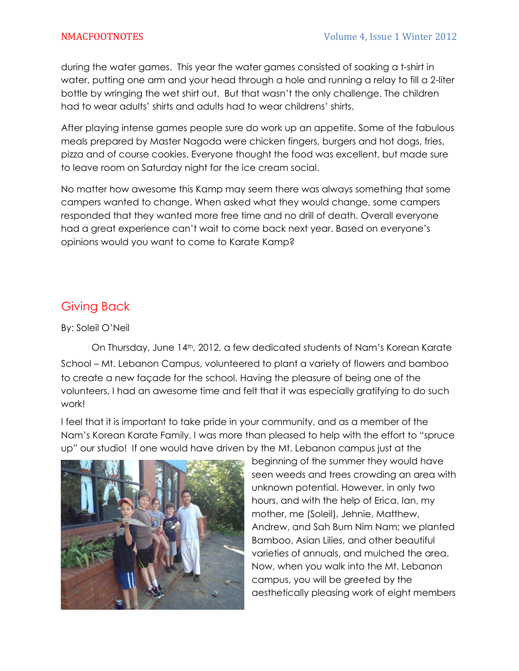during the water games. This year the water games consisted of soaking a t-shirt in water, putting one arm and your head through a hole and running a relay to fill a 2-liter bottle by wringing the wet shirt out. But that wasn't the only challenge. The children had to wear adults' shirts and adults had to wear childrens' shirts.

After playing intense games people sure do work up an appetite. Some of the fabulous meals prepared by Master Nagoda were chicken fingers, burgers and hot dogs, fries, pizza and of course cookies. Everyone thought the food was excellent, but made sure to leave room on Saturday night for the ice cream social.

No matter how awesome this Kamp may seem there was always something that some campers wanted to change. When asked what they would change, some campers responded that they wanted more free time and no drill of death. Overall everyone had a great experience can't wait to come back next year. Based on everyone's opinions would you want to come to Karate Kamp?

### Giving Back

By: Soleil O'Neil

On Thursday, June 14th, 2012, a few dedicated students of Nam's Korean Karate School – Mt. Lebanon Campus, volunteered to plant a variety of flowers and bamboo to create a new façade for the school. Having the pleasure of being one of the volunteers, I had an awesome time and felt that it was especially gratifying to do such work!

I feel that it is important to take pride in your community, and as a member of the Nam's Korean Karate Family, I was more than pleased to help with the effort to "spruce up" our studio! If one would have driven by the Mt. Lebanon campus just at the



beginning of the summer they would have seen weeds and trees crowding an area with unknown potential. However, in only two hours, and with the help of Erica, Ian, my mother, me (Soleil), Jehnie, Matthew, Andrew, and Sah Bum Nim Nam; we planted Bamboo, Asian Lilies, and other beautiful varieties of annuals, and mulched the area. Now, when you walk into the Mt. Lebanon campus, you will be greeted by the aesthetically pleasing work of eight members